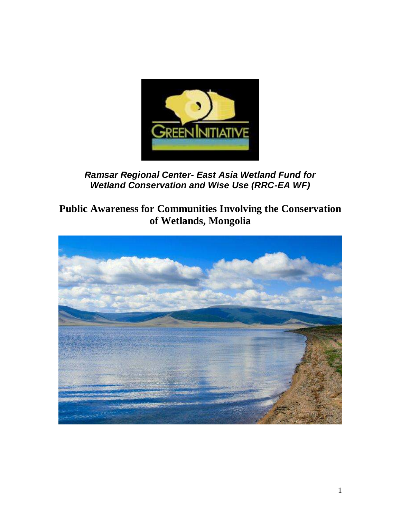

**Ramsar Regional Center- East Asia Wetland Fund for Wetland Conservation and Wise Use (RRC-EA WF)**

# **Public Awareness for Communities Involving the Conservation of Wetlands, Mongolia**

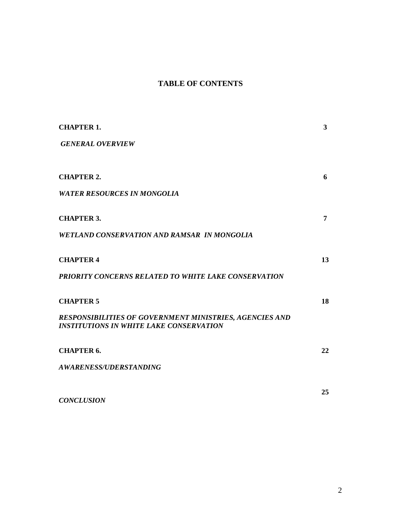# **TABLE OF CONTENTS**

| <b>CHAPTER 1.</b>                                                                                                | $\mathbf{3}$ |
|------------------------------------------------------------------------------------------------------------------|--------------|
| <b>GENERAL OVERVIEW</b>                                                                                          |              |
|                                                                                                                  |              |
| <b>CHAPTER 2.</b>                                                                                                | 6            |
| <b>WATER RESOURCES IN MONGOLIA</b>                                                                               |              |
| <b>CHAPTER 3.</b>                                                                                                | 7            |
| <b>WETLAND CONSERVATION AND RAMSAR IN MONGOLIA</b>                                                               |              |
| <b>CHAPTER 4</b>                                                                                                 | 13           |
| <b>PRIORITY CONCERNS RELATED TO WHITE LAKE CONSERVATION</b>                                                      |              |
| <b>CHAPTER 5</b>                                                                                                 | 18           |
| <b>RESPONSIBILITIES OF GOVERNMENT MINISTRIES, AGENCIES AND</b><br><b>INSTITUTIONS IN WHITE LAKE CONSERVATION</b> |              |
| <b>CHAPTER 6.</b>                                                                                                | 22           |
| <b>AWARENESS/UDERSTANDING</b>                                                                                    |              |
|                                                                                                                  | 25           |
| <b>CONCLUSION</b>                                                                                                |              |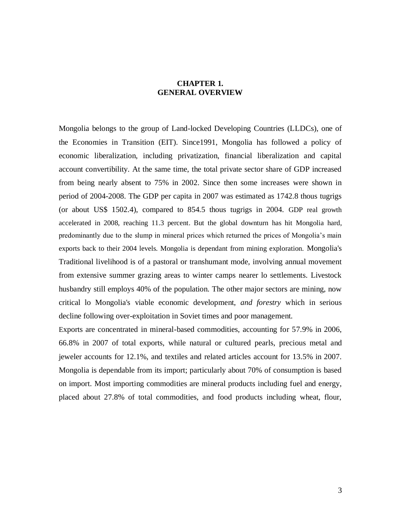## **CHAPTER 1. GENERAL OVERVIEW**

Mongolia belongs to the group of Land-locked Developing Countries (LLDCs), one of the Economies in Transition (EIT). Since1991, Mongolia has followed a policy of economic liberalization, including privatization, financial liberalization and capital account convertibility. At the same time, the total private sector share of GDP increased from being nearly absent to 75% in 2002. Since then some increases were shown in period of 2004-2008. The GDP per capita in 2007 was estimated as 1742.8 thous tugrigs (or about US\$ 1502.4), compared to 854.5 thous tugrigs in 2004. GDP real growth accelerated in 2008, reaching 11.3 percent. But the global downturn has hit Mongolia hard, predominantly due to the slump in mineral prices which returned the prices of Mongolia's main exports back to their 2004 levels. Mongolia is dependant from mining exploration. Mongolia's Traditional livelihood is of a pastoral or transhumant mode, involving annual movement from extensive summer grazing areas to winter camps nearer lo settlements. Livestock husbandry still employs 40% of the population. The other major sectors are mining, now critical lo Mongolia's viable economic development, *and forestry* which in serious decline following over-exploitation in Soviet times and poor management.

Exports are concentrated in mineral-based commodities, accounting for 57.9% in 2006, 66.8% in 2007 of total exports, while natural or cultured pearls, precious metal and jeweler accounts for 12.1%, and textiles and related articles account for 13.5% in 2007. Mongolia is dependable from its import; particularly about 70% of consumption is based on import. Most importing commodities are mineral products including fuel and energy, placed about 27.8% of total commodities, and food products including wheat, flour,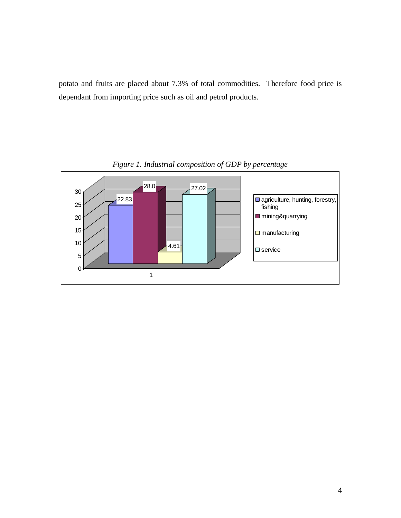potato and fruits are placed about 7.3% of total commodities. Therefore food price is dependant from importing price such as oil and petrol products.



*Figure 1. Industrial composition of GDP by percentage*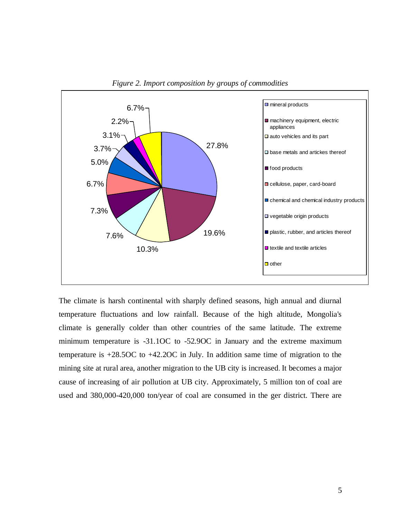



The climate is harsh continental with sharply defined seasons, high annual and diurnal temperature fluctuations and low rainfall. Because of the high altitude, Mongolia's climate is generally colder than other countries of the same latitude. The extreme minimum temperature is -31.1OC to -52.9OC in January and the extreme maximum temperature is +28.5OC to +42.2OC in July. In addition same time of migration to the mining site at rural area, another migration to the UB city is increased. It becomes a major cause of increasing of air pollution at UB city. Approximately, 5 million ton of coal are used and 380,000-420,000 ton/year of coal are consumed in the ger district. There are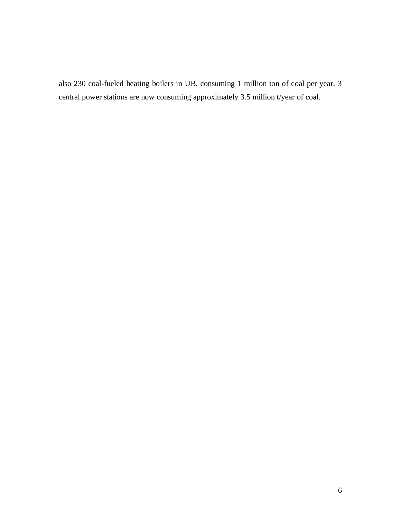also 230 coal-fueled heating boilers in UB, consuming 1 million ton of coal per year. 3 central power stations are now consuming approximately 3.5 million t/year of coal.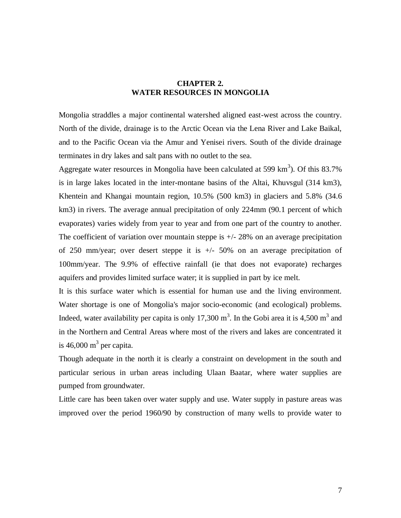### **CHAPTER 2. WATER RESOURCES IN MONGOLIA**

Mongolia straddles a major continental watershed aligned east-west across the country. North of the divide, drainage is to the Arctic Ocean via the Lena River and Lake Baikal, and to the Pacific Ocean via the Amur and Yenisei rivers. South of the divide drainage terminates in dry lakes and salt pans with no outlet to the sea.

Aggregate water resources in Mongolia have been calculated at 599  $\text{km}^3$ ). Of this 83.7% is in large lakes located in the inter-montane basins of the Altai, Khuvsgul (314 km3), Khentein and Khangai mountain region, 10.5% (500 km3) in glaciers and 5.8% (34.6 km3) in rivers. The average annual precipitation of only 224mm (90.1 percent of which evaporates) varies widely from year to year and from one part of the country to another. The coefficient of variation over mountain steppe is  $+/- 28\%$  on an average precipitation of 250 mm/year; over desert steppe it is  $+/-$  50% on an average precipitation of 100mm/year. The 9.9% of effective rainfall (ie that does not evaporate) recharges aquifers and provides limited surface water; it is supplied in part by ice melt.

It is this surface water which is essential for human use and the living environment. Water shortage is one of Mongolia's major socio-economic (and ecological) problems. Indeed, water availability per capita is only 17,300 m<sup>3</sup>. In the Gobi area it is 4,500 m<sup>3</sup> and in the Northern and Central Areas where most of the rivers and lakes are concentrated it is 46,000  $m^3$  per capita.

Though adequate in the north it is clearly a constraint on development in the south and particular serious in urban areas including Ulaan Baatar, where water supplies are pumped from groundwater.

Little care has been taken over water supply and use. Water supply in pasture areas was improved over the period 1960/90 by construction of many wells to provide water to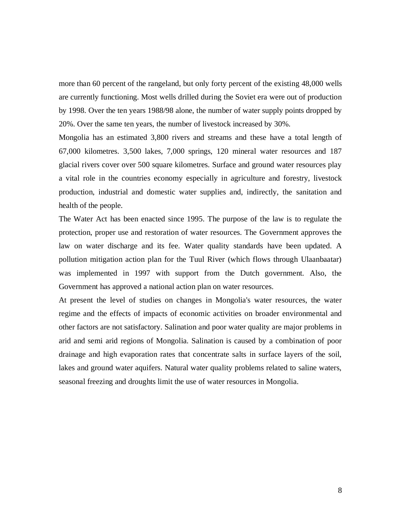more than 60 percent of the rangeland, but only forty percent of the existing 48,000 wells are currently functioning. Most wells drilled during the Soviet era were out of production by 1998. Over the ten years 1988/98 alone, the number of water supply points dropped by 20%. Over the same ten years, the number of livestock increased by 30%.

Mongolia has an estimated 3,800 rivers and streams and these have a total length of 67,000 kilometres. 3,500 lakes, 7,000 springs, 120 mineral water resources and 187 glacial rivers cover over 500 square kilometres. Surface and ground water resources play a vital role in the countries economy especially in agriculture and forestry, livestock production, industrial and domestic water supplies and, indirectly, the sanitation and health of the people.

The Water Act has been enacted since 1995. The purpose of the law is to regulate the protection, proper use and restoration of water resources. The Government approves the law on water discharge and its fee. Water quality standards have been updated. A pollution mitigation action plan for the Tuul River (which flows through Ulaanbaatar) was implemented in 1997 with support from the Dutch government. Also, the Government has approved a national action plan on water resources.

At present the level of studies on changes in Mongolia's water resources, the water regime and the effects of impacts of economic activities on broader environmental and other factors are not satisfactory. Salination and poor water quality are major problems in arid and semi arid regions of Mongolia. Salination is caused by a combination of poor drainage and high evaporation rates that concentrate salts in surface layers of the soil, lakes and ground water aquifers. Natural water quality problems related to saline waters, seasonal freezing and droughts limit the use of water resources in Mongolia.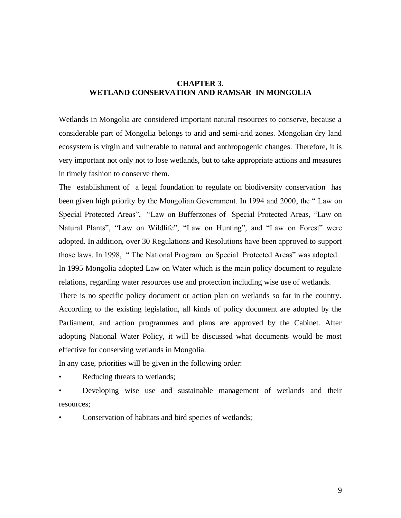### **CHAPTER 3. WETLAND CONSERVATION AND RAMSAR IN MONGOLIA**

Wetlands in Mongolia are considered important natural resources to conserve, because a considerable part of Mongolia belongs to arid and semi-arid zones. Mongolian dry land ecosystem is virgin and vulnerable to natural and anthropogenic changes. Therefore, it is very important not only not to lose wetlands, but to take appropriate actions and measures in timely fashion to conserve them.

The establishment of a legal foundation to regulate on biodiversity conservation has been given high priority by the Mongolian Government. In 1994 and 2000, the " Law on Special Protected Areas", "Law on Bufferzones of Special Protected Areas, "Law on Natural Plants", "Law on Wildlife", "Law on Hunting", and "Law on Forest" were adopted. In addition, over 30 Regulations and Resolutions have been approved to support those laws. In 1998, " The National Program on Special Protected Areas" was adopted. In 1995 Mongolia adopted Law on Water which is the main policy document to regulate relations, regarding water resources use and protection including wise use of wetlands. There is no specific policy document or action plan on wetlands so far in the country. According to the existing legislation, all kinds of policy document are adopted by the Parliament, and action programmes and plans are approved by the Cabinet. After adopting National Water Policy, it will be discussed what documents would be most effective for conserving wetlands in Mongolia.

In any case, priorities will be given in the following order:

Reducing threats to wetlands;

• Developing wise use and sustainable management of wetlands and their resources;

• Conservation of habitats and bird species of wetlands;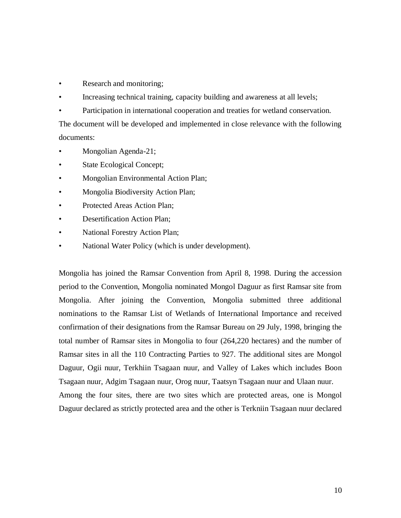- Research and monitoring;
- Increasing technical training, capacity building and awareness at all levels;
- Participation in international cooperation and treaties for wetland conservation.

The document will be developed and implemented in close relevance with the following documents:

- Mongolian Agenda-21;
- State Ecological Concept;
- Mongolian Environmental Action Plan;
- Mongolia Biodiversity Action Plan;
- Protected Areas Action Plan;
- Desertification Action Plan;
- National Forestry Action Plan;
- National Water Policy (which is under development).

Mongolia has joined the Ramsar Convention from April 8, 1998. During the accession period to the Convention, Mongolia nominated Mongol Daguur as first Ramsar site from Mongolia. After joining the Convention, Mongolia submitted three additional nominations to the Ramsar List of Wetlands of International Importance and received confirmation of their designations from the Ramsar Bureau on 29 July, 1998, bringing the total number of Ramsar sites in Mongolia to four (264,220 hectares) and the number of Ramsar sites in all the 110 Contracting Parties to 927. The additional sites are Mongol Daguur, Ogii nuur, Terkhiin Tsagaan nuur, and Valley of Lakes which includes Boon Tsagaan nuur, Adgim Tsagaan nuur, Orog nuur, Taatsyn Tsagaan nuur and Ulaan nuur. Among the four sites, there are two sites which are protected areas, one is Mongol Daguur declared as strictly protected area and the other is Terkniin Tsagaan nuur declared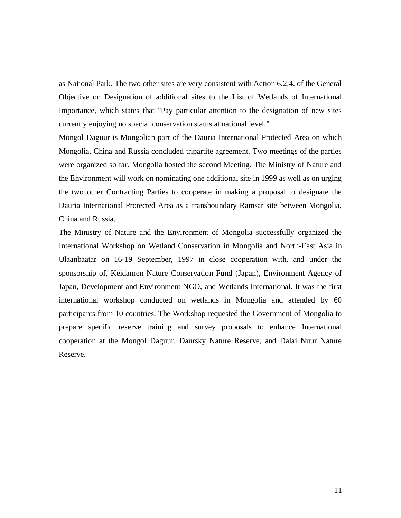as National Park. The two other sites are very consistent with Action 6.2.4. of the General Objective on Designation of additional sites to the List of Wetlands of International Importance, which states that "Pay particular attention to the designation of new sites currently enjoying no special conservation status at national level."

Mongol Daguur is Mongolian part of the Dauria International Protected Area on which Mongolia, China and Russia concluded tripartite agreement. Two meetings of the parties were organized so far. Mongolia hosted the second Meeting. The Ministry of Nature and the Environment will work on nominating one additional site in 1999 as well as on urging the two other Contracting Parties to cooperate in making a proposal to designate the Dauria International Protected Area as a transboundary Ramsar site between Mongolia, China and Russia.

The Ministry of Nature and the Environment of Mongolia successfully organized the International Workshop on Wetland Conservation in Mongolia and North-East Asia in Ulaanbaatar on 16-19 September, 1997 in close cooperation with, and under the sponsorship of, Keidanren Nature Conservation Fund (Japan), Environment Agency of Japan, Development and Environment NGO, and Wetlands International. It was the first international workshop conducted on wetlands in Mongolia and attended by 60 participants from 10 countries. The Workshop requested the Government of Mongolia to prepare specific reserve training and survey proposals to enhance International cooperation at the Mongol Daguur, Daursky Nature Reserve, and Dalai Nuur Nature Reserve.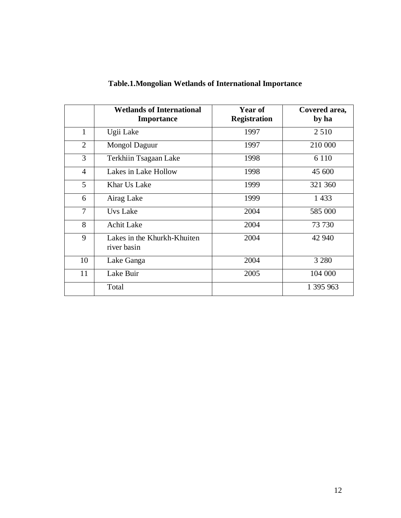|                | <b>Wetlands of International</b><br><b>Importance</b> | Year of<br><b>Registration</b> | Covered area,<br>by ha |
|----------------|-------------------------------------------------------|--------------------------------|------------------------|
| $\mathbf{1}$   | Ugii Lake                                             | 1997                           | 2 5 1 0                |
| 2              | Mongol Daguur                                         | 1997                           | 210 000                |
| 3              | Terkhiin Tsagaan Lake                                 | 1998                           | 6 1 1 0                |
| $\overline{4}$ | Lakes in Lake Hollow                                  | 1998                           | 45 600                 |
| 5              | Khar Us Lake                                          | 1999                           | 321 360                |
| 6              | Airag Lake                                            | 1999                           | 1 4 3 3                |
| $\overline{7}$ | Uvs Lake                                              | 2004                           | 585 000                |
| 8              | <b>Achit Lake</b>                                     | 2004                           | 73 730                 |
| 9              | Lakes in the Khurkh-Khuiten<br>river basin            | 2004                           | 42 940                 |
| 10             | Lake Ganga                                            | 2004                           | 3 2 8 0                |
| 11             | Lake Buir                                             | 2005                           | 104 000                |
|                | Total                                                 |                                | 1 395 963              |

# **Table.1.Mongolian Wetlands of International Importance**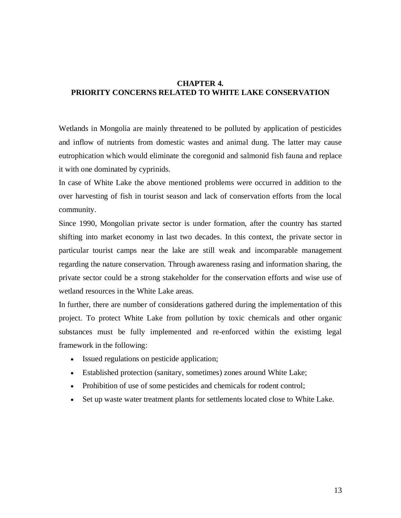### **CHAPTER 4. PRIORITY CONCERNS RELATED TO WHITE LAKE CONSERVATION**

Wetlands in Mongolia are mainly threatened to be polluted by application of pesticides and inflow of nutrients from domestic wastes and animal dung. The latter may cause eutrophication which would eliminate the coregonid and salmonid fish fauna and replace it with one dominated by cyprinids.

In case of White Lake the above mentioned problems were occurred in addition to the over harvesting of fish in tourist season and lack of conservation efforts from the local community.

Since 1990, Mongolian private sector is under formation, after the country has started shifting into market economy in last two decades. In this context, the private sector in particular tourist camps near the lake are still weak and incomparable management regarding the nature conservation. Through awareness rasing and information sharing, the private sector could be a strong stakeholder for the conservation efforts and wise use of wetland resources in the White Lake areas.

In further, there are number of considerations gathered during the implementation of this project. To protect White Lake from pollution by toxic chemicals and other organic substances must be fully implemented and re-enforced within the existimg legal framework in the following:

- Issued regulations on pesticide application;
- Established protection (sanitary, sometimes) zones around White Lake;
- Prohibition of use of some pesticides and chemicals for rodent control;
- Set up waste water treatment plants for settlements located close to White Lake.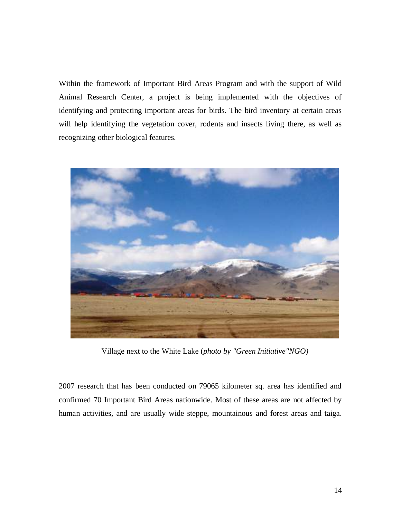Within the framework of Important Bird Areas Program and with the support of Wild Animal Research Center, a project is being implemented with the objectives of identifying and protecting important areas for birds. The bird inventory at certain areas will help identifying the vegetation cover, rodents and insects living there, as well as recognizing other biological features.



Village next to the White Lake (*photo by "Green Initiative"NGO)*

2007 research that has been conducted on 79065 kilometer sq. area has identified and confirmed 70 Important Bird Areas nationwide. Most of these areas are not affected by human activities, and are usually wide steppe, mountainous and forest areas and taiga.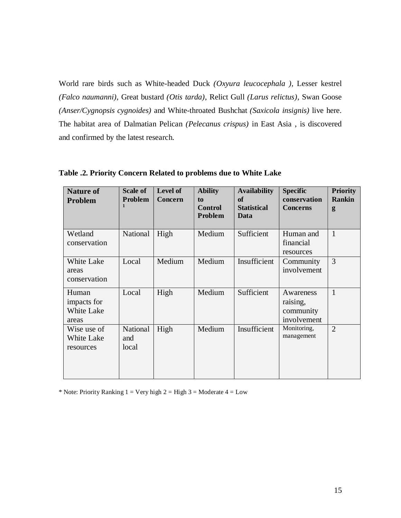World rare birds such as White-headed Duck *(Oxyura leucocephala )*, Lesser kestrel *(Falco naumanni)*, Great bustard *(Otis tarda)*, Relict Gull *(Larus relictus)*, Swan Goose *(Anser/Cygnopsis cygnoides)* and White-throated Bushchat *(Saxicola insignis)* live here. The habitat area of Dalmatian Pelican *(Pelecanus crispus)* in East Asia , is discovered and confirmed by the latest research.

| <b>Nature of</b><br>Problem                 | <b>Scale of</b><br><b>Problem</b><br>1 | Level of<br><b>Concern</b> | <b>Ability</b><br>to<br><b>Control</b><br>Problem | <b>Availability</b><br><b>of</b><br><b>Statistical</b><br>Data | <b>Specific</b><br>conservation<br><b>Concerns</b> | <b>Priority</b><br><b>Rankin</b><br>g |
|---------------------------------------------|----------------------------------------|----------------------------|---------------------------------------------------|----------------------------------------------------------------|----------------------------------------------------|---------------------------------------|
| Wetland<br>conservation                     | National                               | High                       | Medium                                            | Sufficient                                                     | Human and<br>financial<br>resources                | $\mathbf{1}$                          |
| White Lake<br>areas<br>conservation         | Local                                  | Medium                     | Medium                                            | Insufficient                                                   | Community<br>involvement                           | 3                                     |
| Human<br>impacts for<br>White Lake<br>areas | Local                                  | High                       | Medium                                            | Sufficient                                                     | Awareness<br>raising,<br>community<br>involvement  | $\mathbf{1}$                          |
| Wise use of<br>White Lake<br>resources      | National<br>and<br>local               | High                       | Medium                                            | Insufficient                                                   | Monitoring,<br>management                          | $\overline{2}$                        |

**Table .2. Priority Concern Related to problems due to White Lake** 

\* Note: Priority Ranking 1 = Very high  $2 = High 3 = Modern 4 = Low$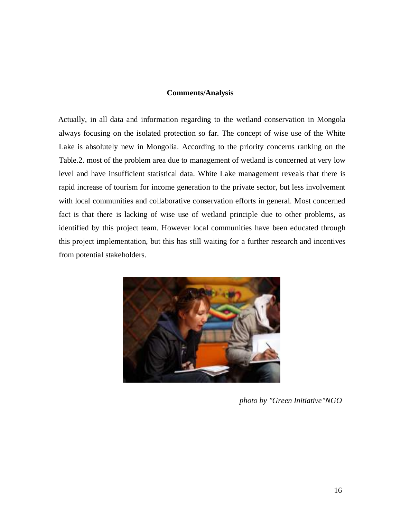### **Comments/Analysis**

Actually, in all data and information regarding to the wetland conservation in Mongola always focusing on the isolated protection so far. The concept of wise use of the White Lake is absolutely new in Mongolia. According to the priority concerns ranking on the Table.2. most of the problem area due to management of wetland is concerned at very low level and have insufficient statistical data. White Lake management reveals that there is rapid increase of tourism for income generation to the private sector, but less involvement with local communities and collaborative conservation efforts in general. Most concerned fact is that there is lacking of wise use of wetland principle due to other problems, as identified by this project team. However local communities have been educated through this project implementation, but this has still waiting for a further research and incentives from potential stakeholders.



*photo by "Green Initiative"NGO*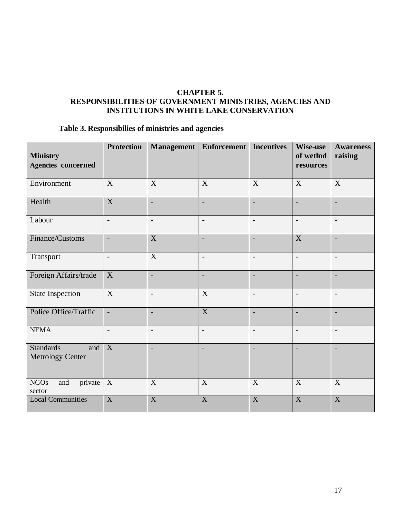### **CHAPTER 5. RESPONSIBILITIES OF GOVERNMENT MINISTRIES, AGENCIES AND INSTITUTIONS IN WHITE LAKE CONSERVATION**

# **Table 3. Responsibilies of ministries and agencies**

| <b>Ministry</b><br>Agencies concerned       | <b>Protection</b>         |                           | Management   Enforcement   Incentives |                          | Wise-use<br>of wetInd<br>resources | <b>Awareness</b><br>raising |
|---------------------------------------------|---------------------------|---------------------------|---------------------------------------|--------------------------|------------------------------------|-----------------------------|
| Environment                                 | X                         | X                         | X                                     | X                        | X                                  | X                           |
| Health                                      | $\boldsymbol{\mathrm{X}}$ |                           | $\overline{\phantom{a}}$              |                          | $\overline{\phantom{a}}$           | $\overline{\phantom{a}}$    |
| Labour                                      | $\overline{\phantom{a}}$  | $\overline{\phantom{a}}$  | $\overline{\phantom{a}}$              | $\overline{\phantom{a}}$ | $\overline{\phantom{a}}$           | $\overline{\phantom{a}}$    |
| Finance/Customs                             | $\blacksquare$            | $\overline{X}$            | $\overline{\phantom{a}}$              | $\overline{\phantom{a}}$ | $\overline{X}$                     | $\overline{\phantom{a}}$    |
| Transport                                   | $\blacksquare$            | $\overline{X}$            | $\overline{a}$                        | $\overline{\phantom{a}}$ | $\overline{\phantom{0}}$           | $\overline{\phantom{a}}$    |
| Foreign Affairs/trade                       | $\mathbf X$               | $\overline{\phantom{a}}$  | $\overline{a}$                        | $\overline{\phantom{a}}$ | $\overline{\phantom{a}}$           | $\overline{\phantom{a}}$    |
| <b>State Inspection</b>                     | $\mathbf X$               | $\overline{a}$            | X                                     | $\overline{\phantom{a}}$ | $\qquad \qquad -$                  | $\overline{\phantom{a}}$    |
| Police Office/Traffic                       | $\overline{\phantom{a}}$  | $\overline{a}$            | $\mathbf X$                           | $\overline{\phantom{a}}$ | $\overline{\phantom{m}}$           | $\overline{\phantom{a}}$    |
| <b>NEMA</b>                                 | $\overline{\phantom{a}}$  | $\overline{a}$            | $\qquad \qquad -$                     | $\overline{\phantom{a}}$ | $\qquad \qquad -$                  | $\overline{\phantom{a}}$    |
| <b>Standards</b><br>and<br>Metrology Center | $\boldsymbol{X}$          |                           | $\overline{a}$                        |                          |                                    | $\overline{\phantom{a}}$    |
| private<br><b>NGOs</b><br>and<br>sector     | X                         | $\mathbf X$               | $\mathbf X$                           | $\mathbf X$              | $\mathbf X$                        | $\boldsymbol{X}$            |
| <b>Local Communities</b>                    | $\boldsymbol{\mathrm{X}}$ | $\boldsymbol{\mathrm{X}}$ | $\boldsymbol{\mathrm{X}}$             | $\mathbf X$              | X                                  | X                           |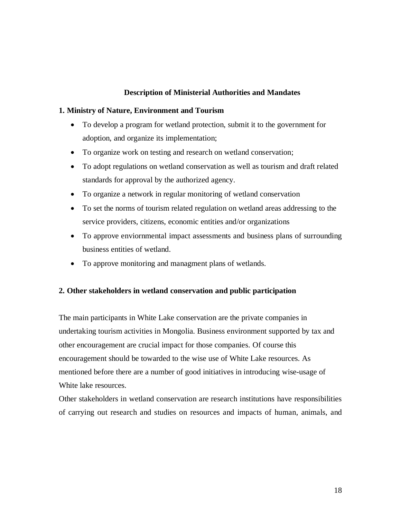### **Description of Ministerial Authorities and Mandates**

### **1. Ministry of Nature, Environment and Tourism**

- To develop a program for wetland protection, submit it to the government for adoption, and organize its implementation;
- To organize work on testing and research on wetland conservation;
- To adopt regulations on wetland conservation as well as tourism and draft related standards for approval by the authorized agency.
- To organize a network in regular monitoring of wetland conservation
- To set the norms of tourism related regulation on wetland areas addressing to the service providers, citizens, economic entities and/or organizations
- To approve enviornmental impact assessments and business plans of surrounding business entities of wetland.
- To approve monitoring and managment plans of wetlands.

### **2. Other stakeholders in wetland conservation and public participation**

The main participants in White Lake conservation are the private companies in undertaking tourism activities in Mongolia. Business environment supported by tax and other encouragement are crucial impact for those companies. Of course this encouragement should be towarded to the wise use of White Lake resources. As mentioned before there are a number of good initiatives in introducing wise-usage of White lake resources.

Other stakeholders in wetland conservation are research institutions have responsibilities of carrying out research and studies on resources and impacts of human, animals, and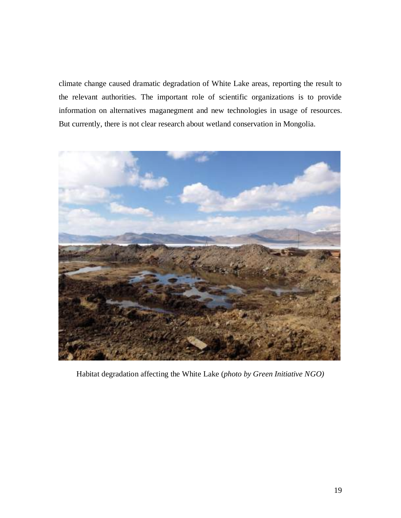climate change caused dramatic degradation of White Lake areas, reporting the result to the relevant authorities. The important role of scientific organizations is to provide information on alternatives maganegment and new technologies in usage of resources. But currently, there is not clear research about wetland conservation in Mongolia.



Habitat degradation affecting the White Lake (*photo by Green Initiative NGO)*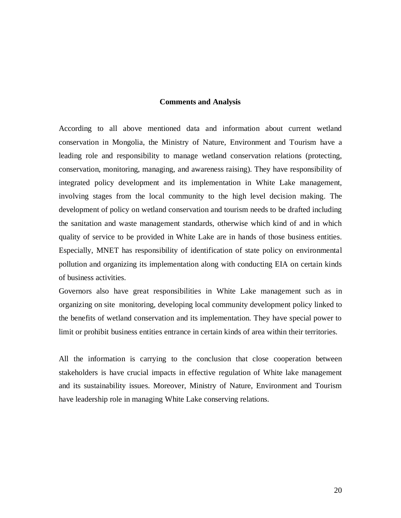### **Comments and Analysis**

According to all above mentioned data and information about current wetland conservation in Mongolia, the Ministry of Nature, Environment and Tourism have a leading role and responsibility to manage wetland conservation relations (protecting, conservation, monitoring, managing, and awareness raising). They have responsibility of integrated policy development and its implementation in White Lake management, involving stages from the local community to the high level decision making. The development of policy on wetland conservation and tourism needs to be drafted including the sanitation and waste management standards, otherwise which kind of and in which quality of service to be provided in White Lake are in hands of those business entities. Especially, MNET has responsibility of identification of state policy on environmental pollution and organizing its implementation along with conducting EIA on certain kinds of business activities.

Governors also have great responsibilities in White Lake management such as in organizing on site monitoring, developing local community development policy linked to the benefits of wetland conservation and its implementation. They have special power to limit or prohibit business entities entrance in certain kinds of area within their territories.

All the information is carrying to the conclusion that close cooperation between stakeholders is have crucial impacts in effective regulation of White lake management and its sustainability issues. Moreover, Ministry of Nature, Environment and Tourism have leadership role in managing White Lake conserving relations.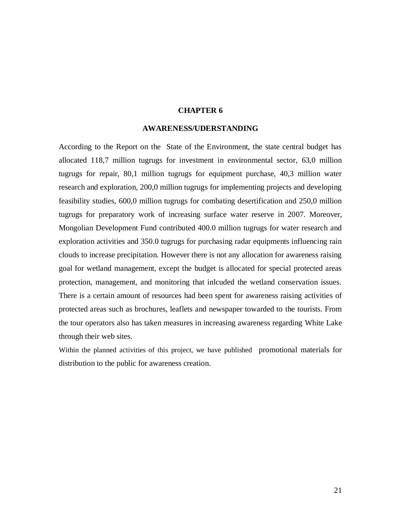### **CHAPTER 6**

#### **AWARENESS/UDERSTANDING**

According to the Report on the State of the Environment, the state central budget has allocated 118,7 million tugrugs for investment in environmental sector, 63,0 million tugrugs for repair, 80,1 million tugrugs for equipment purchase, 40,3 million water research and exploration, 200,0 million tugrugs for implementing projects and developing feasibility studies, 600,0 million tugrugs for combating desertification and 250,0 million tugrugs for preparatory work of increasing surface water reserve in 2007. Moreover, Mongolian Development Fund contributed 400.0 million tugrugs for water research and exploration activities and 350.0 tugrugs for purchasing radar equipments influencing rain clouds to increase precipitation. However there is not any allocation for awareness raising goal for wetland management, except the budget is allocated for special protected areas protection, management, and monitoring that inlcuded the wetland conservation issues. There is a certain amount of resources had been spent for awareness raising activities of protected areas such as brochures, leaflets and newspaper towarded to the tourists. From the tour operators also has taken measures in increasing awareness regarding White Lake through their web sites.

Within the planned activities of this project, we have published promotional materials for distribution to the public for awareness creation.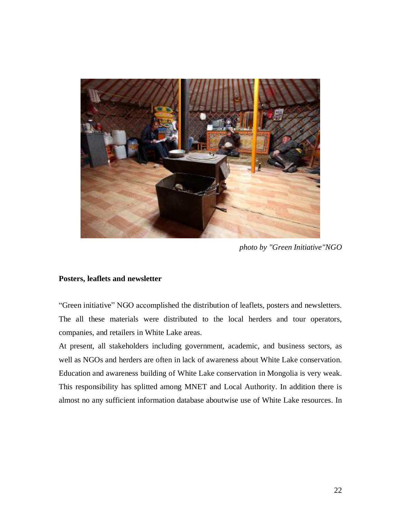

*photo by "Green Initiative"NGO*

### **Posters, leaflets and newsletter**

"Green initiative" NGO accomplished the distribution of leaflets, posters and newsletters. The all these materials were distributed to the local herders and tour operators, companies, and retailers in White Lake areas.

At present, all stakeholders including government, academic, and business sectors, as well as NGOs and herders are often in lack of awareness about White Lake conservation. Education and awareness building of White Lake conservation in Mongolia is very weak. This responsibility has splitted among MNET and Local Authority. In addition there is almost no any sufficient information database aboutwise use of White Lake resources. In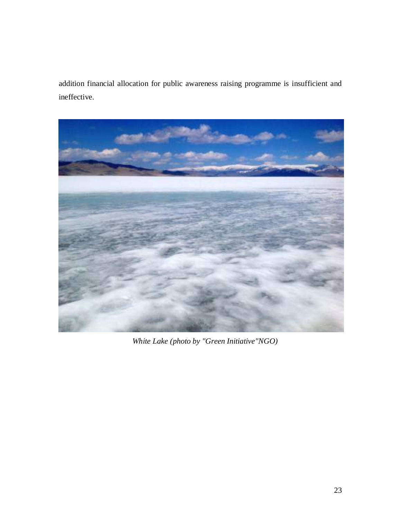addition financial allocation for public awareness raising programme is insufficient and ineffective.



*White Lake (photo by "Green Initiative"NGO)*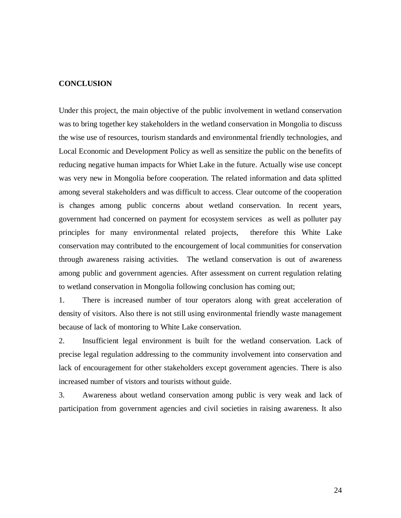### **CONCLUSION**

Under this project, the main objective of the public involvement in wetland conservation was to bring together key stakeholders in the wetland conservation in Mongolia to discuss the wise use of resources, tourism standards and environmental friendly technologies, and Local Economic and Development Policy as well as sensitize the public on the benefits of reducing negative human impacts for Whiet Lake in the future. Actually wise use concept was very new in Mongolia before cooperation. The related information and data splitted among several stakeholders and was difficult to access. Clear outcome of the cooperation is changes among public concerns about wetland conservation. In recent years, government had concerned on payment for ecosystem services as well as polluter pay principles for many environmental related projects, therefore this White Lake conservation may contributed to the encourgement of local communities for conservation through awareness raising activities. The wetland conservation is out of awareness among public and government agencies. After assessment on current regulation relating to wetland conservation in Mongolia following conclusion has coming out;

1. There is increased number of tour operators along with great acceleration of density of visitors. Also there is not still using environmental friendly waste management because of lack of montoring to White Lake conservation.

2. Insufficient legal environment is built for the wetland conservation. Lack of precise legal regulation addressing to the community involvement into conservation and lack of encouragement for other stakeholders except government agencies. There is also increased number of vistors and tourists without guide.

3. Awareness about wetland conservation among public is very weak and lack of participation from government agencies and civil societies in raising awareness. It also